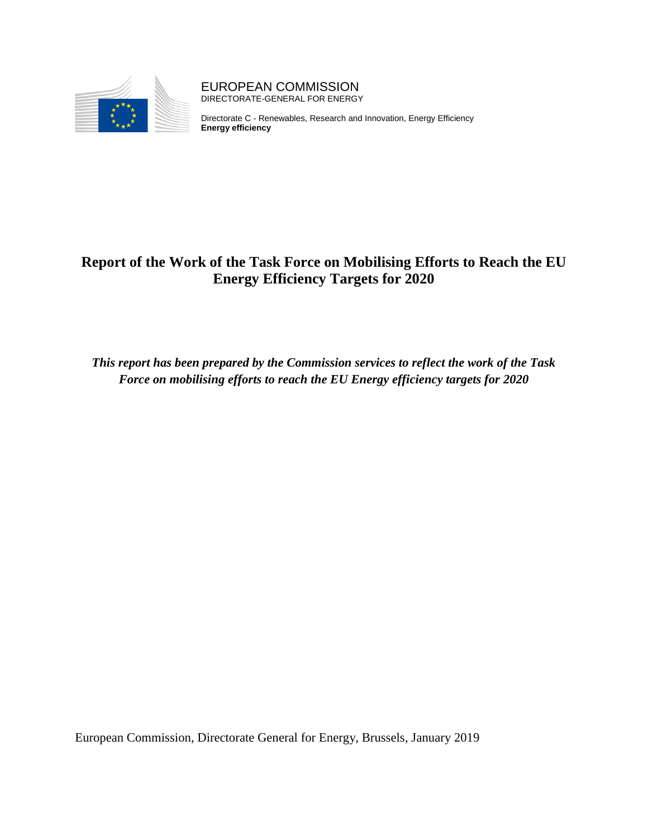

EUROPEAN COMMISSION DIRECTORATE-GENERAL FOR ENERGY

Directorate C - Renewables, Research and Innovation, Energy Efficiency **Energy efficiency**

# **Report of the Work of the Task Force on Mobilising Efforts to Reach the EU Energy Efficiency Targets for 2020**

*This report has been prepared by the Commission services to reflect the work of the Task Force on mobilising efforts to reach the EU Energy efficiency targets for 2020*

European Commission, Directorate General for Energy, Brussels, January 2019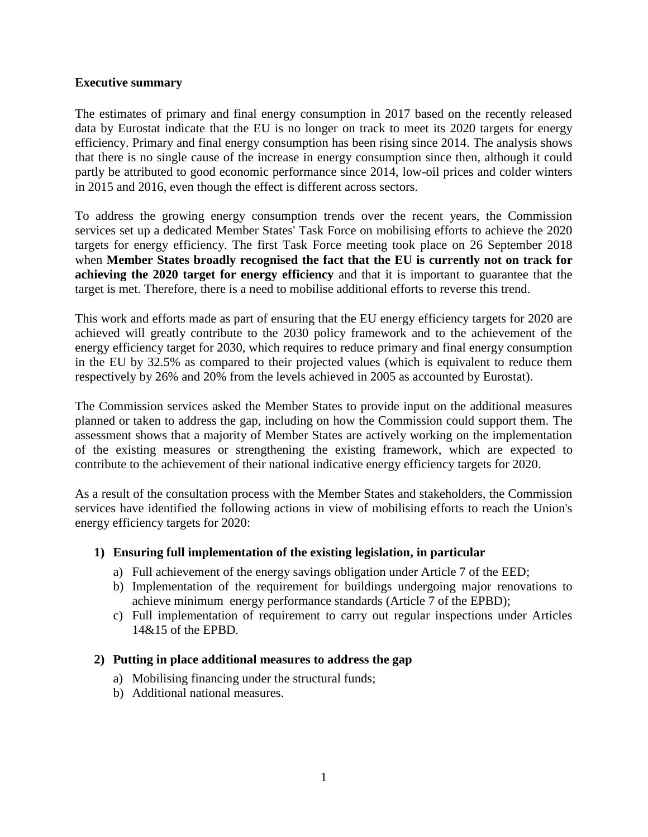#### **Executive summary**

The estimates of primary and final energy consumption in 2017 based on the recently released data by Eurostat indicate that the EU is no longer on track to meet its 2020 targets for energy efficiency. Primary and final energy consumption has been rising since 2014. The analysis shows that there is no single cause of the increase in energy consumption since then, although it could partly be attributed to good economic performance since 2014, low-oil prices and colder winters in 2015 and 2016, even though the effect is different across sectors.

To address the growing energy consumption trends over the recent years, the Commission services set up a dedicated Member States' Task Force on mobilising efforts to achieve the 2020 targets for energy efficiency. The first Task Force meeting took place on 26 September 2018 when **Member States broadly recognised the fact that the EU is currently not on track for achieving the 2020 target for energy efficiency** and that it is important to guarantee that the target is met. Therefore, there is a need to mobilise additional efforts to reverse this trend.

This work and efforts made as part of ensuring that the EU energy efficiency targets for 2020 are achieved will greatly contribute to the 2030 policy framework and to the achievement of the energy efficiency target for 2030, which requires to reduce primary and final energy consumption in the EU by 32.5% as compared to their projected values (which is equivalent to reduce them respectively by 26% and 20% from the levels achieved in 2005 as accounted by Eurostat).

The Commission services asked the Member States to provide input on the additional measures planned or taken to address the gap, including on how the Commission could support them. The assessment shows that a majority of Member States are actively working on the implementation of the existing measures or strengthening the existing framework, which are expected to contribute to the achievement of their national indicative energy efficiency targets for 2020.

As a result of the consultation process with the Member States and stakeholders, the Commission services have identified the following actions in view of mobilising efforts to reach the Union's energy efficiency targets for 2020:

#### **1) Ensuring full implementation of the existing legislation, in particular**

- a) Full achievement of the energy savings obligation under Article 7 of the EED;
- b) Implementation of the requirement for buildings undergoing major renovations to achieve minimum energy performance standards (Article 7 of the EPBD);
- c) Full implementation of requirement to carry out regular inspections under Articles 14&15 of the EPBD.

#### **2) Putting in place additional measures to address the gap**

- a) Mobilising financing under the structural funds;
- b) Additional national measures.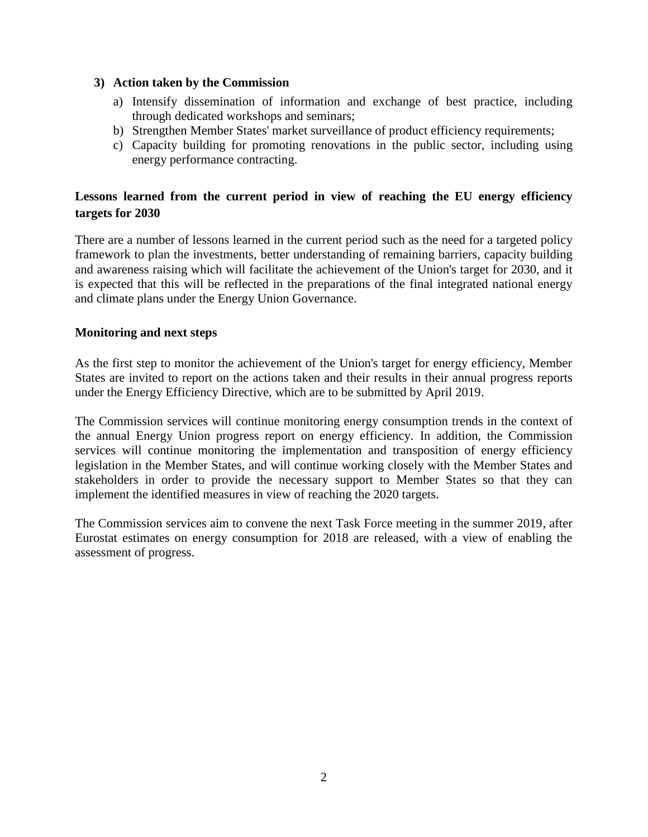### **3) Action taken by the Commission**

- a) Intensify dissemination of information and exchange of best practice, including through dedicated workshops and seminars;
- b) Strengthen Member States' market surveillance of product efficiency requirements;
- c) Capacity building for promoting renovations in the public sector, including using energy performance contracting.

## **Lessons learned from the current period in view of reaching the EU energy efficiency targets for 2030**

There are a number of lessons learned in the current period such as the need for a targeted policy framework to plan the investments, better understanding of remaining barriers, capacity building and awareness raising which will facilitate the achievement of the Union's target for 2030, and it is expected that this will be reflected in the preparations of the final integrated national energy and climate plans under the Energy Union Governance.

## **Monitoring and next steps**

As the first step to monitor the achievement of the Union's target for energy efficiency, Member States are invited to report on the actions taken and their results in their annual progress reports under the Energy Efficiency Directive, which are to be submitted by April 2019.

The Commission services will continue monitoring energy consumption trends in the context of the annual Energy Union progress report on energy efficiency. In addition, the Commission services will continue monitoring the implementation and transposition of energy efficiency legislation in the Member States, and will continue working closely with the Member States and stakeholders in order to provide the necessary support to Member States so that they can implement the identified measures in view of reaching the 2020 targets.

The Commission services aim to convene the next Task Force meeting in the summer 2019, after Eurostat estimates on energy consumption for 2018 are released, with a view of enabling the assessment of progress.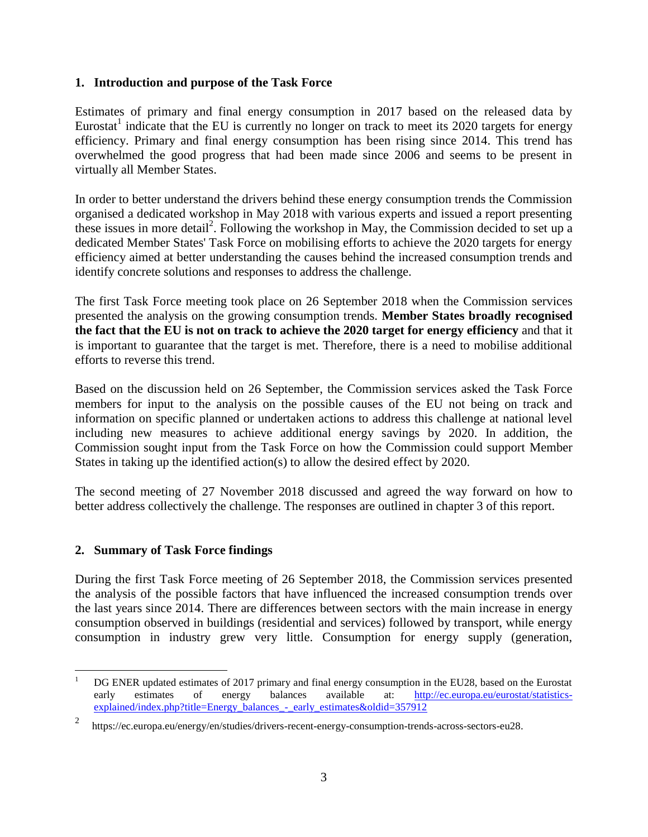### **1. Introduction and purpose of the Task Force**

Estimates of primary and final energy consumption in 2017 based on the released data by Eurostat<sup>1</sup> indicate that the EU is currently no longer on track to meet its 2020 targets for energy efficiency. Primary and final energy consumption has been rising since 2014. This trend has overwhelmed the good progress that had been made since 2006 and seems to be present in virtually all Member States.

In order to better understand the drivers behind these energy consumption trends the Commission organised a dedicated workshop in May 2018 with various experts and issued a report presenting these issues in more detail<sup>2</sup>. Following the workshop in May, the Commission decided to set up a dedicated Member States' Task Force on mobilising efforts to achieve the 2020 targets for energy efficiency aimed at better understanding the causes behind the increased consumption trends and identify concrete solutions and responses to address the challenge.

The first Task Force meeting took place on 26 September 2018 when the Commission services presented the analysis on the growing consumption trends. **Member States broadly recognised the fact that the EU is not on track to achieve the 2020 target for energy efficiency** and that it is important to guarantee that the target is met. Therefore, there is a need to mobilise additional efforts to reverse this trend.

Based on the discussion held on 26 September, the Commission services asked the Task Force members for input to the analysis on the possible causes of the EU not being on track and information on specific planned or undertaken actions to address this challenge at national level including new measures to achieve additional energy savings by 2020. In addition, the Commission sought input from the Task Force on how the Commission could support Member States in taking up the identified action(s) to allow the desired effect by 2020.

The second meeting of 27 November 2018 discussed and agreed the way forward on how to better address collectively the challenge. The responses are outlined in chapter 3 of this report.

## **2. Summary of Task Force findings**

During the first Task Force meeting of 26 September 2018, the Commission services presented the analysis of the possible factors that have influenced the increased consumption trends over the last years since 2014. There are differences between sectors with the main increase in energy consumption observed in buildings (residential and services) followed by transport, while energy consumption in industry grew very little. Consumption for energy supply (generation,

 $\mathbf{1}$ <sup>1</sup> DG ENER updated estimates of 2017 primary and final energy consumption in the EU28, based on the Eurostat early estimates of energy balances available at: [http://ec.europa.eu/eurostat/statistics](http://ec.europa.eu/eurostat/statistics-explained/index.php?title=Energy_balances_-_early_estimates&oldid=357912)[explained/index.php?title=Energy\\_balances\\_-\\_early\\_estimates&oldid=357912](http://ec.europa.eu/eurostat/statistics-explained/index.php?title=Energy_balances_-_early_estimates&oldid=357912)

<sup>2</sup> [https://ec.europa.eu/energy/en/studies/drivers-recent-energy-consumption-trends-across-sectors-eu28.](https://ec.europa.eu/energy/en/studies/drivers-recent-energy-consumption-trends-across-sectors-eu28)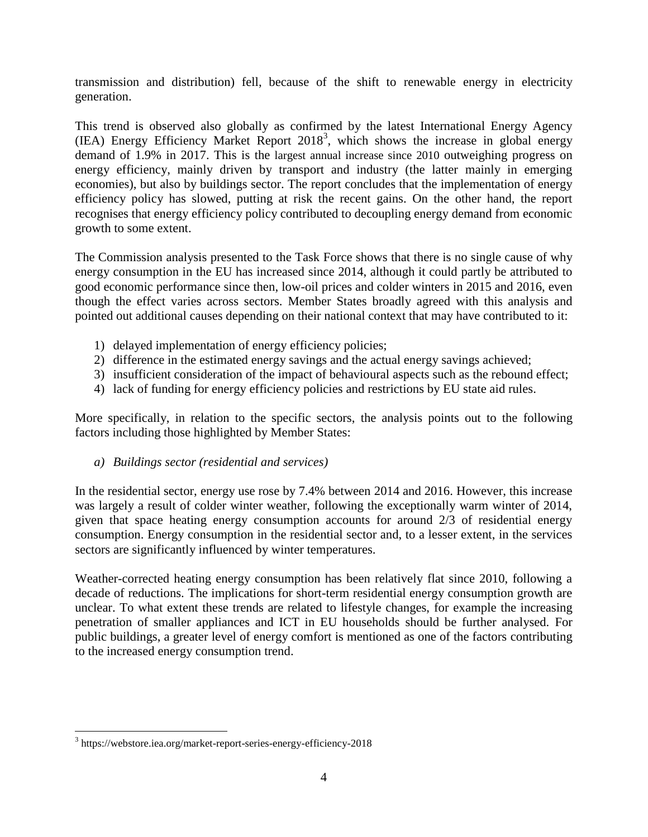transmission and distribution) fell, because of the shift to renewable energy in electricity generation.

This trend is observed also globally as confirmed by the latest International Energy Agency  $(IEA)$  Energy Efficiency Market Report 2018<sup>3</sup>, which shows the increase in global energy demand of 1.9% in 2017. This is the largest annual increase since 2010 outweighing progress on energy efficiency, mainly driven by transport and industry (the latter mainly in emerging economies), but also by buildings sector. The report concludes that the implementation of energy efficiency policy has slowed, putting at risk the recent gains. On the other hand, the report recognises that energy efficiency policy contributed to decoupling energy demand from economic growth to some extent.

The Commission analysis presented to the Task Force shows that there is no single cause of why energy consumption in the EU has increased since 2014, although it could partly be attributed to good economic performance since then, low-oil prices and colder winters in 2015 and 2016, even though the effect varies across sectors. Member States broadly agreed with this analysis and pointed out additional causes depending on their national context that may have contributed to it:

- 1) delayed implementation of energy efficiency policies;
- 2) difference in the estimated energy savings and the actual energy savings achieved;
- 3) insufficient consideration of the impact of behavioural aspects such as the rebound effect;
- 4) lack of funding for energy efficiency policies and restrictions by EU state aid rules.

More specifically, in relation to the specific sectors, the analysis points out to the following factors including those highlighted by Member States:

## *a) Buildings sector (residential and services)*

In the residential sector, energy use rose by 7.4% between 2014 and 2016. However, this increase was largely a result of colder winter weather, following the exceptionally warm winter of 2014, given that space heating energy consumption accounts for around 2/3 of residential energy consumption. Energy consumption in the residential sector and, to a lesser extent, in the services sectors are significantly influenced by winter temperatures.

Weather-corrected heating energy consumption has been relatively flat since 2010, following a decade of reductions. The implications for short-term residential energy consumption growth are unclear. To what extent these trends are related to lifestyle changes, for example the increasing penetration of smaller appliances and ICT in EU households should be further analysed. For public buildings, a greater level of energy comfort is mentioned as one of the factors contributing to the increased energy consumption trend.

 3 https://webstore.iea.org/market-report-series-energy-efficiency-2018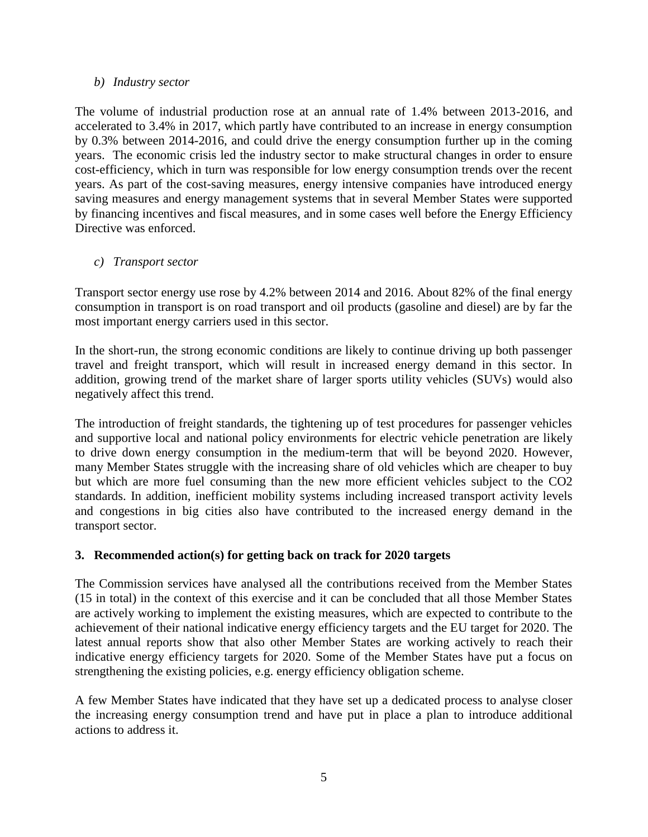### *b) Industry sector*

The volume of industrial production rose at an annual rate of 1.4% between 2013-2016, and accelerated to 3.4% in 2017, which partly have contributed to an increase in energy consumption by 0.3% between 2014-2016, and could drive the energy consumption further up in the coming years. The economic crisis led the industry sector to make structural changes in order to ensure cost-efficiency, which in turn was responsible for low energy consumption trends over the recent years. As part of the cost-saving measures, energy intensive companies have introduced energy saving measures and energy management systems that in several Member States were supported by financing incentives and fiscal measures, and in some cases well before the Energy Efficiency Directive was enforced.

## *c) Transport sector*

Transport sector energy use rose by 4.2% between 2014 and 2016. About 82% of the final energy consumption in transport is on road transport and oil products (gasoline and diesel) are by far the most important energy carriers used in this sector.

In the short-run, the strong economic conditions are likely to continue driving up both passenger travel and freight transport, which will result in increased energy demand in this sector. In addition, growing trend of the market share of larger sports utility vehicles (SUVs) would also negatively affect this trend.

The introduction of freight standards, the tightening up of test procedures for passenger vehicles and supportive local and national policy environments for electric vehicle penetration are likely to drive down energy consumption in the medium-term that will be beyond 2020. However, many Member States struggle with the increasing share of old vehicles which are cheaper to buy but which are more fuel consuming than the new more efficient vehicles subject to the CO2 standards. In addition, inefficient mobility systems including increased transport activity levels and congestions in big cities also have contributed to the increased energy demand in the transport sector.

## **3. Recommended action(s) for getting back on track for 2020 targets**

The Commission services have analysed all the contributions received from the Member States (15 in total) in the context of this exercise and it can be concluded that all those Member States are actively working to implement the existing measures, which are expected to contribute to the achievement of their national indicative energy efficiency targets and the EU target for 2020. The latest annual reports show that also other Member States are working actively to reach their indicative energy efficiency targets for 2020. Some of the Member States have put a focus on strengthening the existing policies, e.g. energy efficiency obligation scheme.

A few Member States have indicated that they have set up a dedicated process to analyse closer the increasing energy consumption trend and have put in place a plan to introduce additional actions to address it.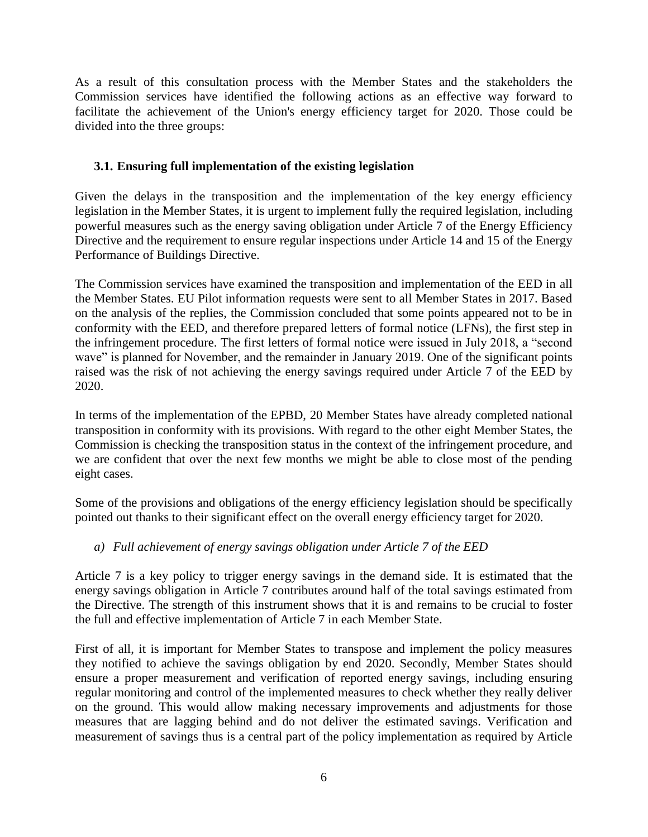As a result of this consultation process with the Member States and the stakeholders the Commission services have identified the following actions as an effective way forward to facilitate the achievement of the Union's energy efficiency target for 2020. Those could be divided into the three groups:

## **3.1. Ensuring full implementation of the existing legislation**

Given the delays in the transposition and the implementation of the key energy efficiency legislation in the Member States, it is urgent to implement fully the required legislation, including powerful measures such as the energy saving obligation under Article 7 of the Energy Efficiency Directive and the requirement to ensure regular inspections under Article 14 and 15 of the Energy Performance of Buildings Directive.

The Commission services have examined the transposition and implementation of the EED in all the Member States. EU Pilot information requests were sent to all Member States in 2017. Based on the analysis of the replies, the Commission concluded that some points appeared not to be in conformity with the EED, and therefore prepared letters of formal notice (LFNs), the first step in the infringement procedure. The first letters of formal notice were issued in July 2018, a "second wave" is planned for November, and the remainder in January 2019. One of the significant points raised was the risk of not achieving the energy savings required under Article 7 of the EED by 2020.

In terms of the implementation of the EPBD, 20 Member States have already completed national transposition in conformity with its provisions. With regard to the other eight Member States, the Commission is checking the transposition status in the context of the infringement procedure, and we are confident that over the next few months we might be able to close most of the pending eight cases.

Some of the provisions and obligations of the energy efficiency legislation should be specifically pointed out thanks to their significant effect on the overall energy efficiency target for 2020.

## *a) Full achievement of energy savings obligation under Article 7 of the EED*

Article 7 is a key policy to trigger energy savings in the demand side. It is estimated that the energy savings obligation in Article 7 contributes around half of the total savings estimated from the Directive. The strength of this instrument shows that it is and remains to be crucial to foster the full and effective implementation of Article 7 in each Member State.

First of all, it is important for Member States to transpose and implement the policy measures they notified to achieve the savings obligation by end 2020. Secondly, Member States should ensure a proper measurement and verification of reported energy savings, including ensuring regular monitoring and control of the implemented measures to check whether they really deliver on the ground. This would allow making necessary improvements and adjustments for those measures that are lagging behind and do not deliver the estimated savings. Verification and measurement of savings thus is a central part of the policy implementation as required by Article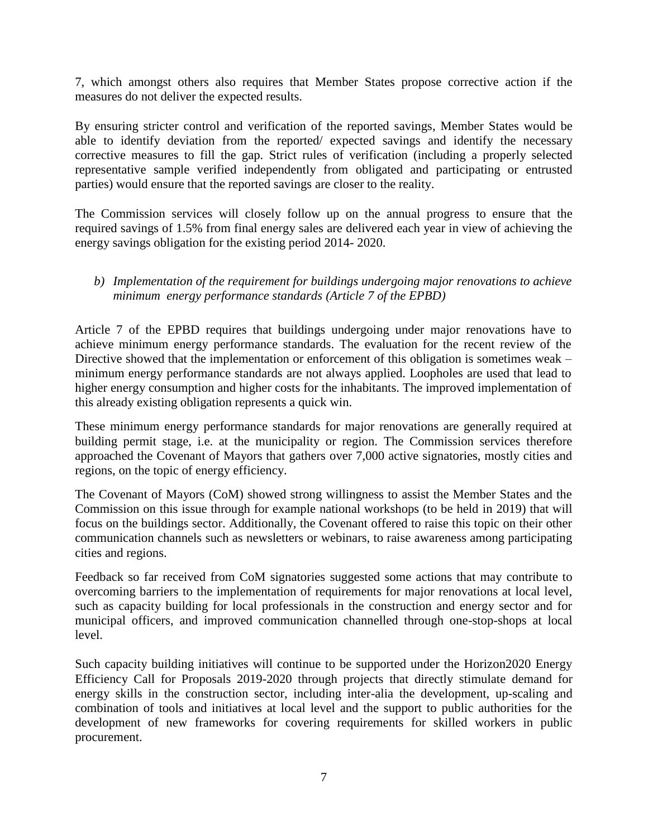7, which amongst others also requires that Member States propose corrective action if the measures do not deliver the expected results.

By ensuring stricter control and verification of the reported savings, Member States would be able to identify deviation from the reported/ expected savings and identify the necessary corrective measures to fill the gap. Strict rules of verification (including a properly selected representative sample verified independently from obligated and participating or entrusted parties) would ensure that the reported savings are closer to the reality.

The Commission services will closely follow up on the annual progress to ensure that the required savings of 1.5% from final energy sales are delivered each year in view of achieving the energy savings obligation for the existing period 2014- 2020.

## *b) Implementation of the requirement for buildings undergoing major renovations to achieve minimum energy performance standards (Article 7 of the EPBD)*

Article 7 of the EPBD requires that buildings undergoing under major renovations have to achieve minimum energy performance standards. The evaluation for the recent review of the Directive showed that the implementation or enforcement of this obligation is sometimes weak – minimum energy performance standards are not always applied. Loopholes are used that lead to higher energy consumption and higher costs for the inhabitants. The improved implementation of this already existing obligation represents a quick win.

These minimum energy performance standards for major renovations are generally required at building permit stage, i.e. at the municipality or region. The Commission services therefore approached the Covenant of Mayors that gathers over 7,000 active signatories, mostly cities and regions, on the topic of energy efficiency.

The Covenant of Mayors (CoM) showed strong willingness to assist the Member States and the Commission on this issue through for example national workshops (to be held in 2019) that will focus on the buildings sector. Additionally, the Covenant offered to raise this topic on their other communication channels such as newsletters or webinars, to raise awareness among participating cities and regions.

Feedback so far received from CoM signatories suggested some actions that may contribute to overcoming barriers to the implementation of requirements for major renovations at local level, such as capacity building for local professionals in the construction and energy sector and for municipal officers, and improved communication channelled through one-stop-shops at local level.

Such capacity building initiatives will continue to be supported under the Horizon2020 Energy Efficiency Call for Proposals 2019-2020 through projects that directly stimulate demand for energy skills in the construction sector, including inter-alia the development, up-scaling and combination of tools and initiatives at local level and the support to public authorities for the development of new frameworks for covering requirements for skilled workers in public procurement.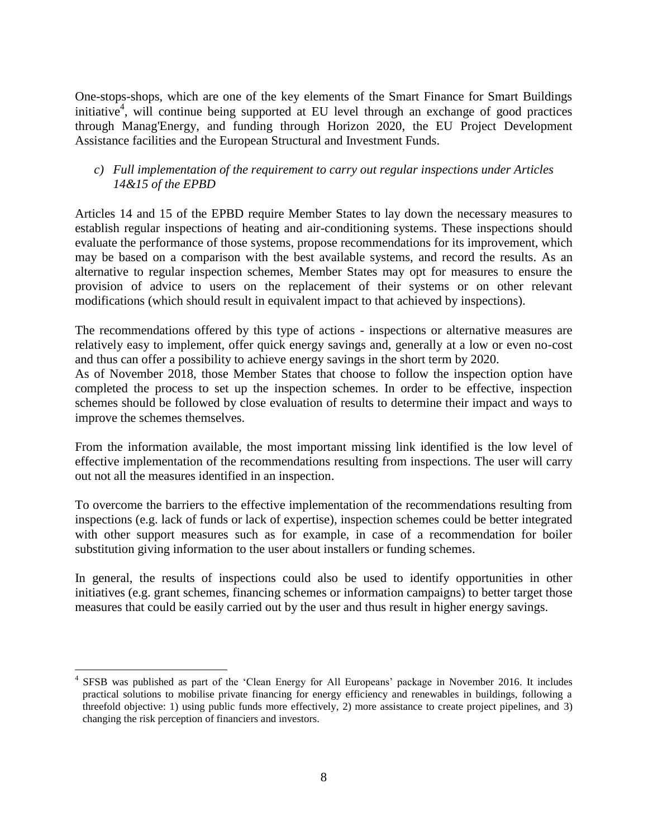One-stops-shops, which are one of the key elements of the Smart Finance for Smart Buildings initiative<sup>4</sup>, will continue being supported at EU level through an exchange of good practices through Manag'Energy, and funding through Horizon 2020, the EU Project Development Assistance facilities and the European Structural and Investment Funds.

## *c) Full implementation of the requirement to carry out regular inspections under Articles 14&15 of the EPBD*

Articles 14 and 15 of the EPBD require Member States to lay down the necessary measures to establish regular inspections of heating and air-conditioning systems. These inspections should evaluate the performance of those systems, propose recommendations for its improvement, which may be based on a comparison with the best available systems, and record the results. As an alternative to regular inspection schemes, Member States may opt for measures to ensure the provision of advice to users on the replacement of their systems or on other relevant modifications (which should result in equivalent impact to that achieved by inspections).

The recommendations offered by this type of actions - inspections or alternative measures are relatively easy to implement, offer quick energy savings and, generally at a low or even no-cost and thus can offer a possibility to achieve energy savings in the short term by 2020.

As of November 2018, those Member States that choose to follow the inspection option have completed the process to set up the inspection schemes. In order to be effective, inspection schemes should be followed by close evaluation of results to determine their impact and ways to improve the schemes themselves.

From the information available, the most important missing link identified is the low level of effective implementation of the recommendations resulting from inspections. The user will carry out not all the measures identified in an inspection.

To overcome the barriers to the effective implementation of the recommendations resulting from inspections (e.g. lack of funds or lack of expertise), inspection schemes could be better integrated with other support measures such as for example, in case of a recommendation for boiler substitution giving information to the user about installers or funding schemes.

In general, the results of inspections could also be used to identify opportunities in other initiatives (e.g. grant schemes, financing schemes or information campaigns) to better target those measures that could be easily carried out by the user and thus result in higher energy savings.

 $\overline{a}$ 4 SFSB was published as part of the 'Clean Energy for All Europeans' package in November 2016. It includes practical solutions to mobilise private financing for energy efficiency and renewables in buildings, following a threefold objective: 1) using public funds more effectively, 2) more assistance to create project pipelines, and 3) changing the risk perception of financiers and investors.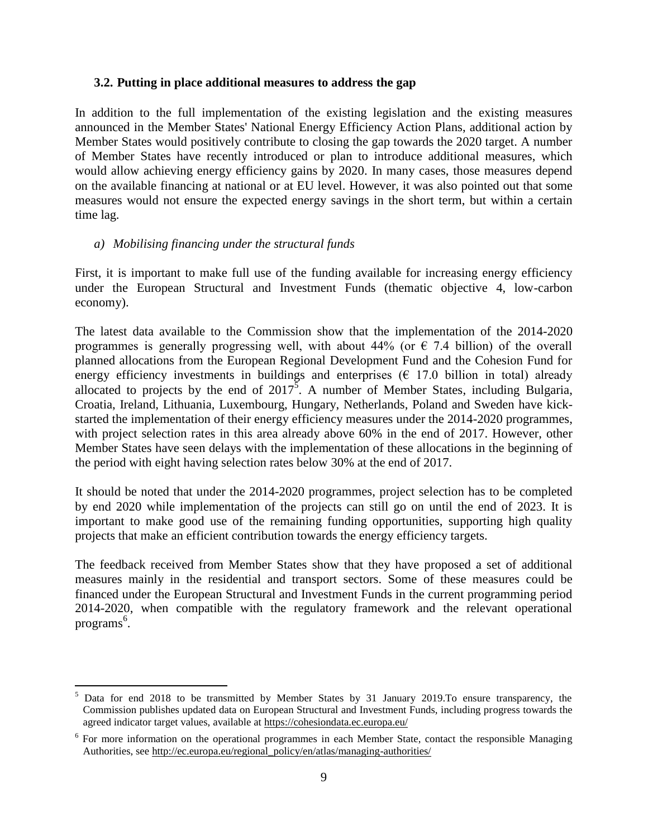#### **3.2. Putting in place additional measures to address the gap**

In addition to the full implementation of the existing legislation and the existing measures announced in the Member States' National Energy Efficiency Action Plans, additional action by Member States would positively contribute to closing the gap towards the 2020 target. A number of Member States have recently introduced or plan to introduce additional measures, which would allow achieving energy efficiency gains by 2020. In many cases, those measures depend on the available financing at national or at EU level. However, it was also pointed out that some measures would not ensure the expected energy savings in the short term, but within a certain time lag.

#### *a) Mobilising financing under the structural funds*

 $\overline{a}$ 

First, it is important to make full use of the funding available for increasing energy efficiency under the European Structural and Investment Funds (thematic objective 4, low-carbon economy).

The latest data available to the Commission show that the implementation of the 2014-2020 programmes is generally progressing well, with about 44% (or  $\epsilon$  7.4 billion) of the overall planned allocations from the European Regional Development Fund and the Cohesion Fund for energy efficiency investments in buildings and enterprises  $(E \ 17.0 \text{ billion in total})$  already allocated to projects by the end of  $2017^{\overline{5}}$ . A number of Member States, including Bulgaria, Croatia, Ireland, Lithuania, Luxembourg, Hungary, Netherlands, Poland and Sweden have kickstarted the implementation of their energy efficiency measures under the 2014-2020 programmes, with project selection rates in this area already above 60% in the end of 2017. However, other Member States have seen delays with the implementation of these allocations in the beginning of the period with eight having selection rates below 30% at the end of 2017.

It should be noted that under the 2014-2020 programmes, project selection has to be completed by end 2020 while implementation of the projects can still go on until the end of 2023. It is important to make good use of the remaining funding opportunities, supporting high quality projects that make an efficient contribution towards the energy efficiency targets.

The feedback received from Member States show that they have proposed a set of additional measures mainly in the residential and transport sectors. Some of these measures could be financed under the European Structural and Investment Funds in the current programming period 2014-2020, when compatible with the regulatory framework and the relevant operational programs $^6$ .

<sup>&</sup>lt;sup>5</sup> Data for end 2018 to be transmitted by Member States by 31 January 2019. To ensure transparency, the Commission publishes updated data on European Structural and Investment Funds, including progress towards the agreed indicator target values, available a[t https://cohesiondata.ec.europa.eu/](https://cohesiondata.ec.europa.eu/)

<sup>&</sup>lt;sup>6</sup> For more information on the operational programmes in each Member State, contact the responsible Managing Authorities, se[e http://ec.europa.eu/regional\\_policy/en/atlas/managing-authorities/](http://ec.europa.eu/regional_policy/en/atlas/managing-authorities/)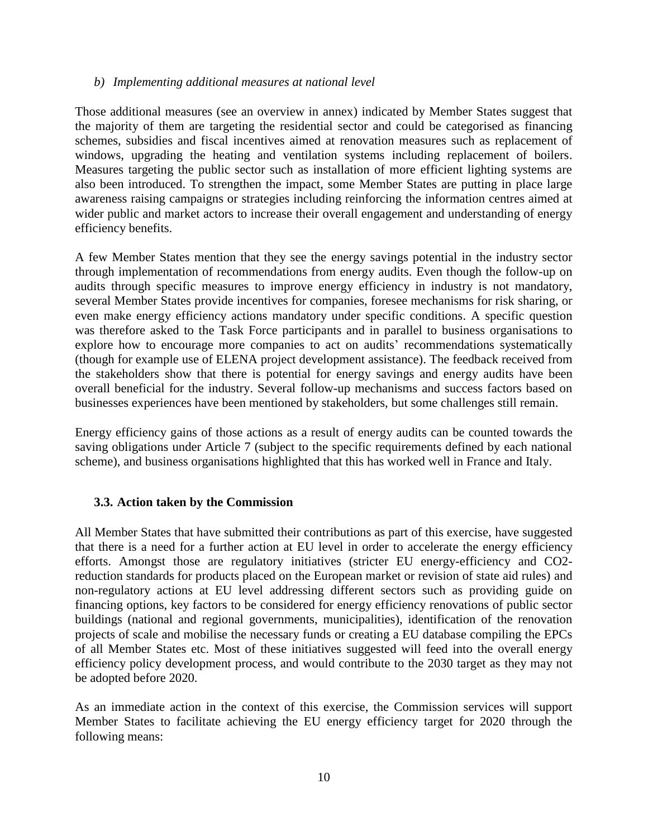#### *b) Implementing additional measures at national level*

Those additional measures (see an overview in annex) indicated by Member States suggest that the majority of them are targeting the residential sector and could be categorised as financing schemes, subsidies and fiscal incentives aimed at renovation measures such as replacement of windows, upgrading the heating and ventilation systems including replacement of boilers. Measures targeting the public sector such as installation of more efficient lighting systems are also been introduced. To strengthen the impact, some Member States are putting in place large awareness raising campaigns or strategies including reinforcing the information centres aimed at wider public and market actors to increase their overall engagement and understanding of energy efficiency benefits.

A few Member States mention that they see the energy savings potential in the industry sector through implementation of recommendations from energy audits. Even though the follow-up on audits through specific measures to improve energy efficiency in industry is not mandatory, several Member States provide incentives for companies, foresee mechanisms for risk sharing, or even make energy efficiency actions mandatory under specific conditions. A specific question was therefore asked to the Task Force participants and in parallel to business organisations to explore how to encourage more companies to act on audits' recommendations systematically (though for example use of ELENA project development assistance). The feedback received from the stakeholders show that there is potential for energy savings and energy audits have been overall beneficial for the industry. Several follow-up mechanisms and success factors based on businesses experiences have been mentioned by stakeholders, but some challenges still remain.

Energy efficiency gains of those actions as a result of energy audits can be counted towards the saving obligations under Article 7 (subject to the specific requirements defined by each national scheme), and business organisations highlighted that this has worked well in France and Italy.

#### **3.3. Action taken by the Commission**

All Member States that have submitted their contributions as part of this exercise, have suggested that there is a need for a further action at EU level in order to accelerate the energy efficiency efforts. Amongst those are regulatory initiatives (stricter EU energy-efficiency and CO2 reduction standards for products placed on the European market or revision of state aid rules) and non-regulatory actions at EU level addressing different sectors such as providing guide on financing options, key factors to be considered for energy efficiency renovations of public sector buildings (national and regional governments, municipalities), identification of the renovation projects of scale and mobilise the necessary funds or creating a EU database compiling the EPCs of all Member States etc. Most of these initiatives suggested will feed into the overall energy efficiency policy development process, and would contribute to the 2030 target as they may not be adopted before 2020.

As an immediate action in the context of this exercise, the Commission services will support Member States to facilitate achieving the EU energy efficiency target for 2020 through the following means: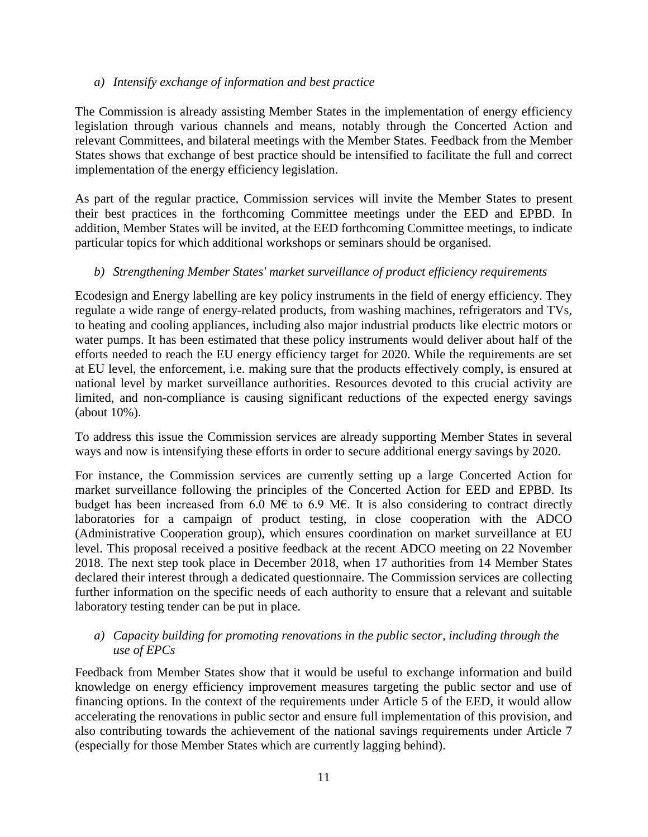#### *a) Intensify exchange of information and best practice*

The Commission is already assisting Member States in the implementation of energy efficiency legislation through various channels and means, notably through the Concerted Action and relevant Committees, and bilateral meetings with the Member States. Feedback from the Member States shows that exchange of best practice should be intensified to facilitate the full and correct implementation of the energy efficiency legislation.

As part of the regular practice, Commission services will invite the Member States to present their best practices in the forthcoming Committee meetings under the EED and EPBD. In addition, Member States will be invited, at the EED forthcoming Committee meetings, to indicate particular topics for which additional workshops or seminars should be organised.

### *b) Strengthening Member States' market surveillance of product efficiency requirements*

Ecodesign and Energy labelling are key policy instruments in the field of energy efficiency. They regulate a wide range of energy-related products, from washing machines, refrigerators and TVs, to heating and cooling appliances, including also major industrial products like electric motors or water pumps. It has been estimated that these policy instruments would deliver about half of the efforts needed to reach the EU energy efficiency target for 2020. While the requirements are set at EU level, the enforcement, i.e. making sure that the products effectively comply, is ensured at national level by market surveillance authorities. Resources devoted to this crucial activity are limited, and non-compliance is causing significant reductions of the expected energy savings (about 10%).

To address this issue the Commission services are already supporting Member States in several ways and now is intensifying these efforts in order to secure additional energy savings by 2020.

For instance, the Commission services are currently setting up a large Concerted Action for market surveillance following the principles of the Concerted Action for EED and EPBD. Its budget has been increased from 6.0 M€ to 6.9 M€. It is also considering to contract directly laboratories for a campaign of product testing, in close cooperation with the ADCO (Administrative Cooperation group), which ensures coordination on market surveillance at EU level. This proposal received a positive feedback at the recent ADCO meeting on 22 November 2018. The next step took place in December 2018, when 17 authorities from 14 Member States declared their interest through a dedicated questionnaire. The Commission services are collecting further information on the specific needs of each authority to ensure that a relevant and suitable laboratory testing tender can be put in place.

#### *a) Capacity building for promoting renovations in the public sector, including through the use of EPCs*

Feedback from Member States show that it would be useful to exchange information and build knowledge on energy efficiency improvement measures targeting the public sector and use of financing options. In the context of the requirements under Article 5 of the EED, it would allow accelerating the renovations in public sector and ensure full implementation of this provision, and also contributing towards the achievement of the national savings requirements under Article 7 (especially for those Member States which are currently lagging behind).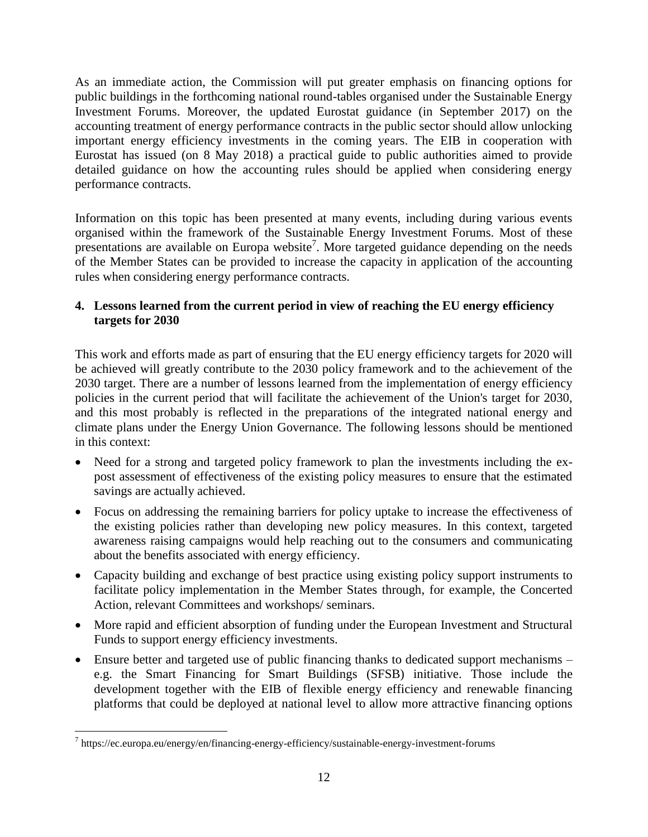As an immediate action, the Commission will put greater emphasis on financing options for public buildings in the forthcoming national round-tables organised under the Sustainable Energy Investment Forums. Moreover, the updated Eurostat guidance (in September 2017) on the accounting treatment of energy performance contracts in the public sector should allow unlocking important energy efficiency investments in the coming years. The EIB in cooperation with Eurostat has issued (on 8 May 2018) a practical guide to public authorities aimed to provide detailed guidance on how the accounting rules should be applied when considering energy performance contracts.

Information on this topic has been presented at many events, including during various events organised within the framework of the Sustainable Energy Investment Forums. Most of these presentations are available on Europa website<sup>7</sup>. More targeted guidance depending on the needs of the Member States can be provided to increase the capacity in application of the accounting rules when considering energy performance contracts.

## **4. Lessons learned from the current period in view of reaching the EU energy efficiency targets for 2030**

This work and efforts made as part of ensuring that the EU energy efficiency targets for 2020 will be achieved will greatly contribute to the 2030 policy framework and to the achievement of the 2030 target. There are a number of lessons learned from the implementation of energy efficiency policies in the current period that will facilitate the achievement of the Union's target for 2030, and this most probably is reflected in the preparations of the integrated national energy and climate plans under the Energy Union Governance. The following lessons should be mentioned in this context:

- Need for a strong and targeted policy framework to plan the investments including the expost assessment of effectiveness of the existing policy measures to ensure that the estimated savings are actually achieved.
- Focus on addressing the remaining barriers for policy uptake to increase the effectiveness of the existing policies rather than developing new policy measures. In this context, targeted awareness raising campaigns would help reaching out to the consumers and communicating about the benefits associated with energy efficiency.
- Capacity building and exchange of best practice using existing policy support instruments to facilitate policy implementation in the Member States through, for example, the Concerted Action, relevant Committees and workshops/ seminars.
- More rapid and efficient absorption of funding under the European Investment and Structural Funds to support energy efficiency investments.
- Ensure better and targeted use of public financing thanks to dedicated support mechanisms e.g. the Smart Financing for Smart Buildings (SFSB) initiative. Those include the development together with the EIB of flexible energy efficiency and renewable financing platforms that could be deployed at national level to allow more attractive financing options

 7 https://ec.europa.eu/energy/en/financing-energy-efficiency/sustainable-energy-investment-forums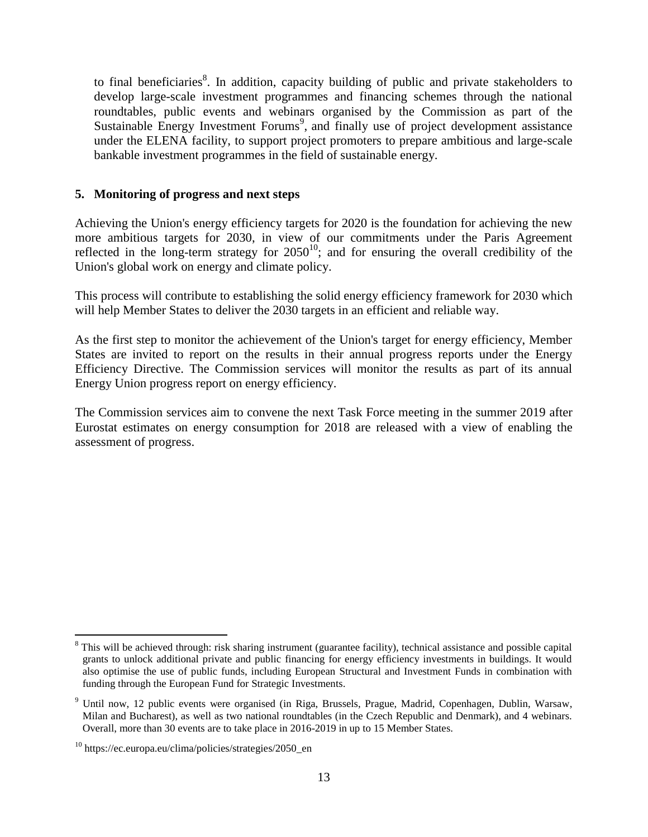to final beneficiaries<sup>8</sup>. In addition, capacity building of public and private stakeholders to develop large-scale investment programmes and financing schemes through the national roundtables, public events and webinars organised by the Commission as part of the Sustainable Energy Investment Forums<sup>9</sup>, and finally use of project development assistance under the ELENA facility, to support project promoters to prepare ambitious and large-scale bankable investment programmes in the field of sustainable energy.

### **5. Monitoring of progress and next steps**

Achieving the Union's energy efficiency targets for 2020 is the foundation for achieving the new more ambitious targets for 2030, in view of our commitments under the Paris Agreement reflected in the long-term strategy for  $2050^{10}$ ; and for ensuring the overall credibility of the Union's global work on energy and climate policy.

This process will contribute to establishing the solid energy efficiency framework for 2030 which will help Member States to deliver the 2030 targets in an efficient and reliable way.

As the first step to monitor the achievement of the Union's target for energy efficiency, Member States are invited to report on the results in their annual progress reports under the Energy Efficiency Directive. The Commission services will monitor the results as part of its annual Energy Union progress report on energy efficiency.

The Commission services aim to convene the next Task Force meeting in the summer 2019 after Eurostat estimates on energy consumption for 2018 are released with a view of enabling the assessment of progress.

 $\overline{a}$ <sup>8</sup> This will be achieved through: risk sharing instrument (guarantee facility), technical assistance and possible capital grants to unlock additional private and public financing for energy efficiency investments in buildings. It would also optimise the use of public funds, including European Structural and Investment Funds in combination with funding through the European Fund for Strategic Investments.

<sup>9</sup> Until now, 12 public events were organised (in Riga, Brussels, Prague, Madrid, Copenhagen, Dublin, Warsaw, Milan and Bucharest), as well as two national roundtables (in the Czech Republic and Denmark), and 4 webinars. Overall, more than 30 events are to take place in 2016-2019 in up to 15 Member States.

 $10$  https://ec.europa.eu/clima/policies/strategies/2050\_en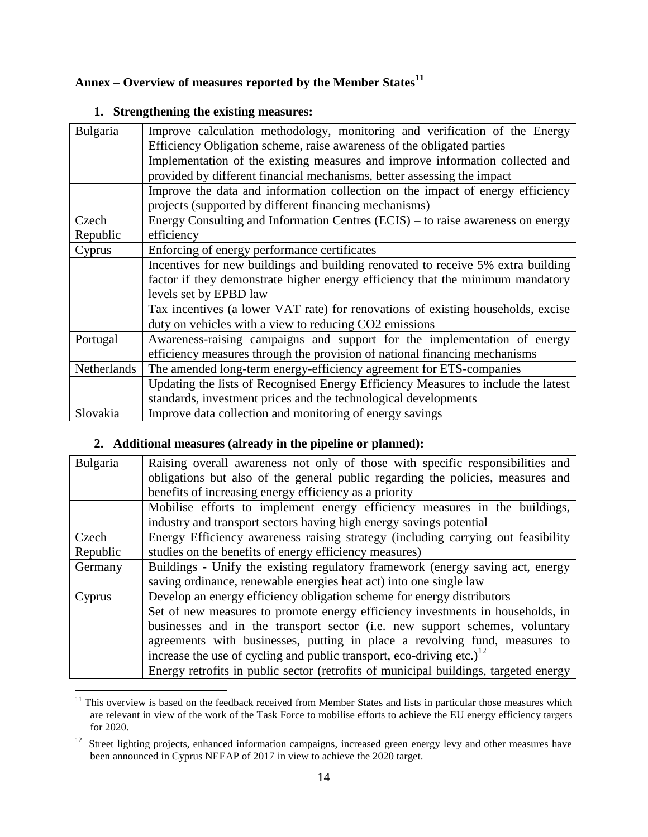## **Annex – Overview of measures reported by the Member States<sup>11</sup>**

| Bulgaria    | Improve calculation methodology, monitoring and verification of the Energy<br>Efficiency Obligation scheme, raise awareness of the obligated parties |
|-------------|------------------------------------------------------------------------------------------------------------------------------------------------------|
|             |                                                                                                                                                      |
|             | Implementation of the existing measures and improve information collected and                                                                        |
|             | provided by different financial mechanisms, better assessing the impact                                                                              |
|             | Improve the data and information collection on the impact of energy efficiency                                                                       |
|             | projects (supported by different financing mechanisms)                                                                                               |
| Czech       | Energy Consulting and Information Centres (ECIS) – to raise awareness on energy                                                                      |
| Republic    | efficiency                                                                                                                                           |
| Cyprus      | Enforcing of energy performance certificates                                                                                                         |
|             | Incentives for new buildings and building renovated to receive 5% extra building                                                                     |
|             | factor if they demonstrate higher energy efficiency that the minimum mandatory                                                                       |
|             | levels set by EPBD law                                                                                                                               |
|             | Tax incentives (a lower VAT rate) for renovations of existing households, excise                                                                     |
|             | duty on vehicles with a view to reducing CO2 emissions                                                                                               |
| Portugal    | Awareness-raising campaigns and support for the implementation of energy                                                                             |
|             | efficiency measures through the provision of national financing mechanisms                                                                           |
| Netherlands | The amended long-term energy-efficiency agreement for ETS-companies                                                                                  |
|             | Updating the lists of Recognised Energy Efficiency Measures to include the latest                                                                    |
|             | standards, investment prices and the technological developments                                                                                      |
| Slovakia    | Improve data collection and monitoring of energy savings                                                                                             |

## **1. Strengthening the existing measures:**

## **2. Additional measures (already in the pipeline or planned):**

| Bulgaria | Raising overall awareness not only of those with specific responsibilities and       |
|----------|--------------------------------------------------------------------------------------|
|          | obligations but also of the general public regarding the policies, measures and      |
|          | benefits of increasing energy efficiency as a priority                               |
|          | Mobilise efforts to implement energy efficiency measures in the buildings,           |
|          | industry and transport sectors having high energy savings potential                  |
| Czech    | Energy Efficiency awareness raising strategy (including carrying out feasibility)    |
| Republic | studies on the benefits of energy efficiency measures)                               |
| Germany  | Buildings - Unify the existing regulatory framework (energy saving act, energy       |
|          | saving ordinance, renewable energies heat act) into one single law                   |
| Cyprus   | Develop an energy efficiency obligation scheme for energy distributors               |
|          | Set of new measures to promote energy efficiency investments in households, in       |
|          | businesses and in the transport sector (i.e. new support schemes, voluntary          |
|          | agreements with businesses, putting in place a revolving fund, measures to           |
|          | increase the use of cycling and public transport, eco-driving etc.) <sup>12</sup>    |
|          | Energy retrofits in public sector (retrofits of municipal buildings, targeted energy |

 $\overline{a}$  $11$  This overview is based on the feedback received from Member States and lists in particular those measures which are relevant in view of the work of the Task Force to mobilise efforts to achieve the EU energy efficiency targets for 2020.

<sup>&</sup>lt;sup>12</sup> Street lighting projects, enhanced information campaigns, increased green energy levy and other measures have been announced in Cyprus NEEAP of 2017 in view to achieve the 2020 target.